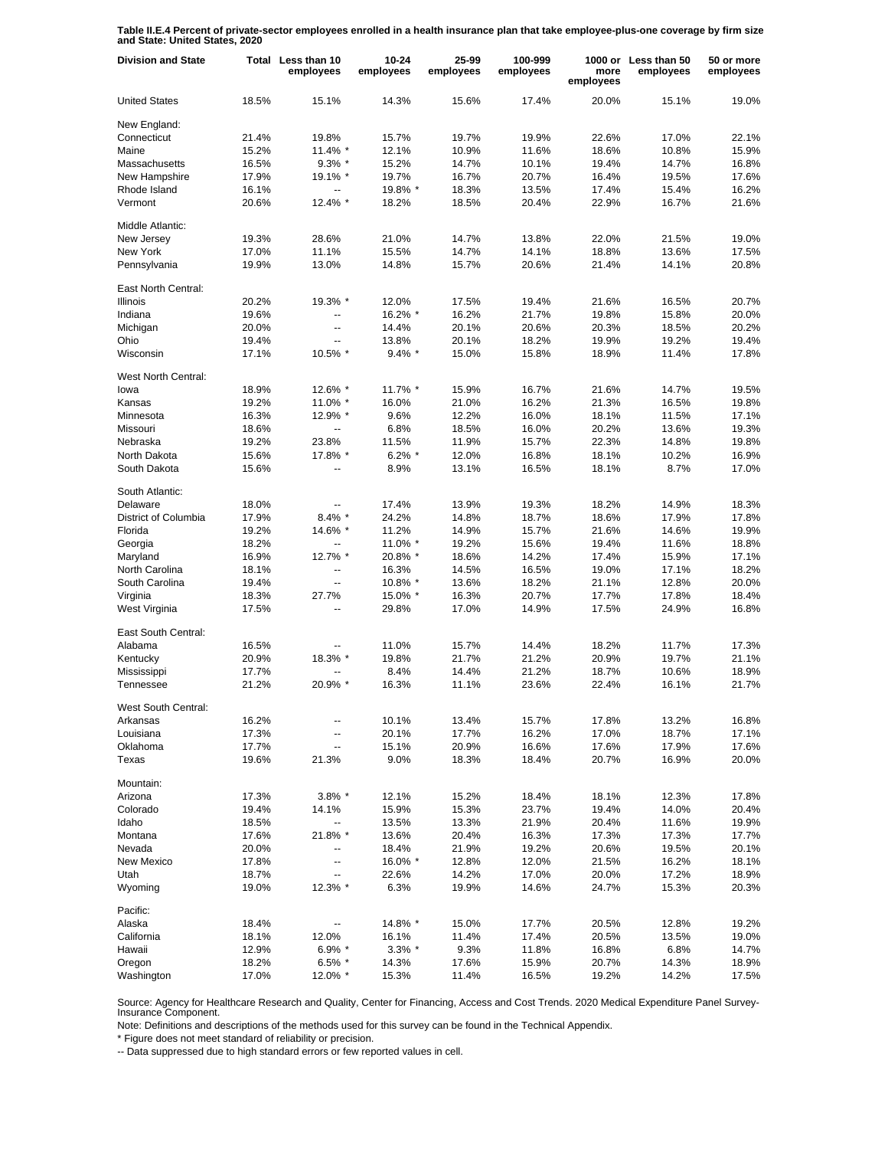**Table II.E.4 Percent of private-sector employees enrolled in a health insurance plan that take employee-plus-one coverage by firm size and State: United States, 2020**

| <b>Division and State</b>   |       | Total Less than 10<br>employees | $10 - 24$<br>employees | 25-99<br>employees | 100-999<br>employees | more<br>employees | 1000 or Less than 50<br>employees | 50 or more<br>employees |
|-----------------------------|-------|---------------------------------|------------------------|--------------------|----------------------|-------------------|-----------------------------------|-------------------------|
| <b>United States</b>        | 18.5% | 15.1%                           | 14.3%                  | 15.6%              | 17.4%                | 20.0%             | 15.1%                             | 19.0%                   |
| New England:                |       |                                 |                        |                    |                      |                   |                                   |                         |
| Connecticut                 | 21.4% | 19.8%                           | 15.7%                  | 19.7%              | 19.9%                | 22.6%             | 17.0%                             | 22.1%                   |
| Maine                       | 15.2% | 11.4% *                         | 12.1%                  | 10.9%              | 11.6%                | 18.6%             | 10.8%                             | 15.9%                   |
| Massachusetts               | 16.5% | $9.3\%$ *                       | 15.2%                  | 14.7%              | 10.1%                | 19.4%             | 14.7%                             | 16.8%                   |
| New Hampshire               | 17.9% | 19.1% *                         | 19.7%                  | 16.7%              | 20.7%                | 16.4%             | 19.5%                             | 17.6%                   |
| Rhode Island                | 16.1% | $\overline{a}$                  | 19.8% *                | 18.3%              | 13.5%                | 17.4%             | 15.4%                             | 16.2%                   |
| Vermont                     | 20.6% | 12.4% *                         | 18.2%                  | 18.5%              | 20.4%                | 22.9%             | 16.7%                             | 21.6%                   |
| Middle Atlantic:            |       |                                 |                        |                    |                      |                   |                                   |                         |
| New Jersey                  | 19.3% | 28.6%                           | 21.0%                  | 14.7%              | 13.8%                | 22.0%             | 21.5%                             | 19.0%                   |
| New York                    | 17.0% | 11.1%                           | 15.5%                  | 14.7%              | 14.1%                | 18.8%             | 13.6%                             | 17.5%                   |
| Pennsylvania                | 19.9% | 13.0%                           | 14.8%                  | 15.7%              | 20.6%                | 21.4%             | 14.1%                             | 20.8%                   |
| East North Central:         |       |                                 |                        |                    |                      |                   |                                   |                         |
| <b>Illinois</b>             | 20.2% | 19.3% *                         | 12.0%                  | 17.5%              | 19.4%                | 21.6%             | 16.5%                             | 20.7%                   |
| Indiana                     | 19.6% | --                              | 16.2% *                | 16.2%              | 21.7%                | 19.8%             | 15.8%                             | 20.0%                   |
| Michigan                    | 20.0% | u.                              | 14.4%                  | 20.1%              | 20.6%                | 20.3%             | 18.5%                             | 20.2%                   |
| Ohio                        | 19.4% |                                 | 13.8%                  | 20.1%              | 18.2%                | 19.9%             | 19.2%                             | 19.4%                   |
| Wisconsin                   | 17.1% | 10.5% *                         | $9.4\%$ *              | 15.0%              | 15.8%                | 18.9%             | 11.4%                             | 17.8%                   |
|                             |       |                                 |                        |                    |                      |                   |                                   |                         |
| West North Central:<br>lowa | 18.9% | 12.6% *                         | 11.7% *                | 15.9%              | 16.7%                | 21.6%             | 14.7%                             | 19.5%                   |
| Kansas                      | 19.2% | 11.0% *                         | 16.0%                  | 21.0%              | 16.2%                | 21.3%             | 16.5%                             | 19.8%                   |
|                             |       | 12.9% *                         | 9.6%                   | 12.2%              | 16.0%                | 18.1%             |                                   |                         |
| Minnesota                   | 16.3% |                                 | 6.8%                   |                    |                      |                   | 11.5%                             | 17.1%                   |
| Missouri                    | 18.6% | Щ,                              |                        | 18.5%              | 16.0%                | 20.2%             | 13.6%                             | 19.3%                   |
| Nebraska                    | 19.2% | 23.8%                           | 11.5%                  | 11.9%              | 15.7%                | 22.3%             | 14.8%                             | 19.8%                   |
| North Dakota                | 15.6% | 17.8% *                         | $6.2\%$ *              | 12.0%              | 16.8%                | 18.1%             | 10.2%                             | 16.9%                   |
| South Dakota                | 15.6% | $\overline{a}$                  | 8.9%                   | 13.1%              | 16.5%                | 18.1%             | 8.7%                              | 17.0%                   |
| South Atlantic:             |       |                                 |                        |                    |                      |                   |                                   |                         |
| Delaware                    | 18.0% |                                 | 17.4%                  | 13.9%              | 19.3%                | 18.2%             | 14.9%                             | 18.3%                   |
| District of Columbia        | 17.9% | $8.4\%$ *                       | 24.2%                  | 14.8%              | 18.7%                | 18.6%             | 17.9%                             | 17.8%                   |
| Florida                     | 19.2% | 14.6% *                         | 11.2%                  | 14.9%              | 15.7%                | 21.6%             | 14.6%                             | 19.9%                   |
| Georgia                     | 18.2% | --                              | 11.0% *                | 19.2%              | 15.6%                | 19.4%             | 11.6%                             | 18.8%                   |
| Maryland                    | 16.9% | 12.7% *                         | 20.8% *                | 18.6%              | 14.2%                | 17.4%             | 15.9%                             | 17.1%                   |
| North Carolina              | 18.1% | ц,                              | 16.3%                  | 14.5%              | 16.5%                | 19.0%             | 17.1%                             | 18.2%                   |
| South Carolina              | 19.4% | --                              | 10.8% *                | 13.6%              | 18.2%                | 21.1%             | 12.8%                             | 20.0%                   |
| Virginia                    | 18.3% | 27.7%                           | 15.0% *                | 16.3%              | 20.7%                | 17.7%             | 17.8%                             | 18.4%                   |
| West Virginia               | 17.5% | $\overline{\phantom{a}}$        | 29.8%                  | 17.0%              | 14.9%                | 17.5%             | 24.9%                             | 16.8%                   |
| East South Central:         |       |                                 |                        |                    |                      |                   |                                   |                         |
| Alabama                     | 16.5% |                                 | 11.0%                  | 15.7%              | 14.4%                | 18.2%             | 11.7%                             | 17.3%                   |
| Kentucky                    | 20.9% | 18.3% *                         | 19.8%                  | 21.7%              | 21.2%                | 20.9%             | 19.7%                             | 21.1%                   |
| Mississippi                 | 17.7% |                                 | 8.4%                   | 14.4%              | 21.2%                | 18.7%             | 10.6%                             | 18.9%                   |
| Tennessee                   | 21.2% | 20.9% *                         | 16.3%                  | 11.1%              | 23.6%                | 22.4%             | 16.1%                             | 21.7%                   |
| West South Central:         |       |                                 |                        |                    |                      |                   |                                   |                         |
| Arkansas                    | 16.2% | -−                              | 10.1%                  | 13.4%              | 15.7%                | 17.8%             | 13.2%                             | 16.8%                   |
| Louisiana                   | 17.3% | --                              | 20.1%                  | 17.7%              | 16.2%                | 17.0%             | 18.7%                             | 17.1%                   |
| Oklahoma                    | 17.7% | --                              | 15.1%                  | 20.9%              | 16.6%                | 17.6%             | 17.9%                             | 17.6%                   |
| Texas                       | 19.6% | 21.3%                           | 9.0%                   | 18.3%              | 18.4%                | 20.7%             | 16.9%                             | 20.0%                   |
| Mountain:                   |       |                                 |                        |                    |                      |                   |                                   |                         |
| Arizona                     | 17.3% | $3.8\%$ *                       | 12.1%                  | 15.2%              | 18.4%                | 18.1%             | 12.3%                             | 17.8%                   |
| Colorado                    | 19.4% | 14.1%                           | 15.9%                  | 15.3%              | 23.7%                | 19.4%             | 14.0%                             | 20.4%                   |
| Idaho                       | 18.5% |                                 | 13.5%                  | 13.3%              | 21.9%                | 20.4%             | 11.6%                             | 19.9%                   |
| Montana                     | 17.6% | 21.8% *                         | 13.6%                  | 20.4%              | 16.3%                | 17.3%             | 17.3%                             | 17.7%                   |
| Nevada                      | 20.0% |                                 | 18.4%                  | 21.9%              | 19.2%                | 20.6%             | 19.5%                             | 20.1%                   |
| New Mexico                  | 17.8% | --                              | 16.0% *                | 12.8%              | 12.0%                | 21.5%             | 16.2%                             | 18.1%                   |
| Utah                        | 18.7% |                                 | 22.6%                  | 14.2%              | 17.0%                | 20.0%             | 17.2%                             | 18.9%                   |
| Wyoming                     | 19.0% | 12.3% *                         | 6.3%                   | 19.9%              | 14.6%                | 24.7%             | 15.3%                             | 20.3%                   |
| Pacific:                    |       |                                 |                        |                    |                      |                   |                                   |                         |
| Alaska                      | 18.4% |                                 | 14.8% *                | 15.0%              | 17.7%                | 20.5%             | 12.8%                             | 19.2%                   |
| California                  | 18.1% | 12.0%                           | 16.1%                  | 11.4%              | 17.4%                | 20.5%             | 13.5%                             | 19.0%                   |
| Hawaii                      | 12.9% | $6.9\%$ *                       | $3.3\%$ *              | 9.3%               | 11.8%                | 16.8%             | 6.8%                              | 14.7%                   |
| Oregon                      | 18.2% | $6.5\%$ *                       | 14.3%                  | 17.6%              | 15.9%                | 20.7%             | 14.3%                             | 18.9%                   |
| Washington                  | 17.0% | 12.0% *                         | 15.3%                  | 11.4%              | 16.5%                | 19.2%             | 14.2%                             | 17.5%                   |

Source: Agency for Healthcare Research and Quality, Center for Financing, Access and Cost Trends. 2020 Medical Expenditure Panel Survey-Insurance Component.

Note: Definitions and descriptions of the methods used for this survey can be found in the Technical Appendix.

\* Figure does not meet standard of reliability or precision.

-- Data suppressed due to high standard errors or few reported values in cell.